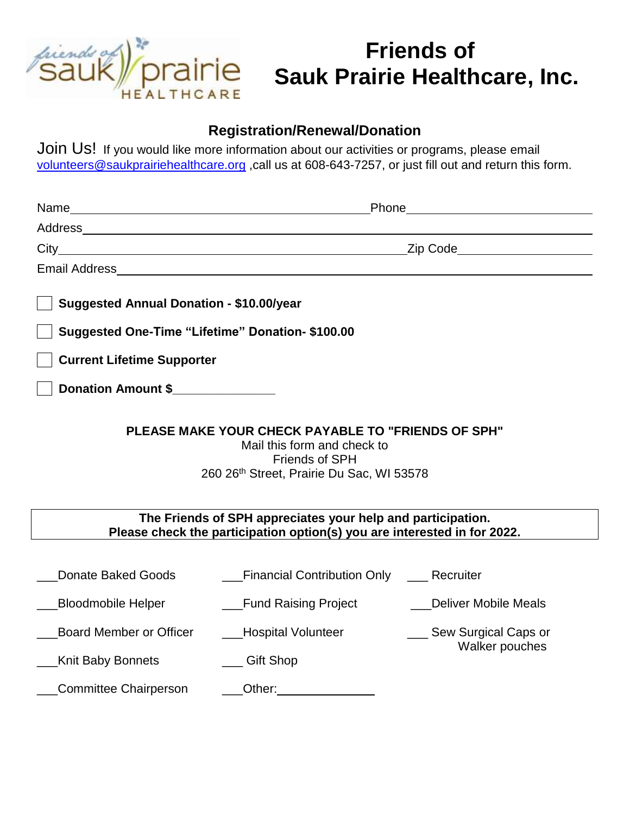

# **Friends of Sauk Prairie Healthcare, Inc.**

#### **Registration/Renewal/Donation**

Join Us! If you would like more information about our activities or programs, please email [volunteers@saukprairiehealthcare.org](mailto:volunteers@saukprairiehealthcare.org) ,call us at 608-643-7257, or just fill out and return this form.

|                                                                                                                                                         | Phone                                                                                                                                                                                                                          |                                                                           |
|---------------------------------------------------------------------------------------------------------------------------------------------------------|--------------------------------------------------------------------------------------------------------------------------------------------------------------------------------------------------------------------------------|---------------------------------------------------------------------------|
|                                                                                                                                                         |                                                                                                                                                                                                                                |                                                                           |
|                                                                                                                                                         | Zip Code______________________                                                                                                                                                                                                 |                                                                           |
|                                                                                                                                                         | Email Address and the contract of the contract of the contract of the contract of the contract of the contract of the contract of the contract of the contract of the contract of the contract of the contract of the contract |                                                                           |
| <b>Suggested Annual Donation - \$10.00/year</b>                                                                                                         |                                                                                                                                                                                                                                |                                                                           |
| Suggested One-Time "Lifetime" Donation- \$100.00                                                                                                        |                                                                                                                                                                                                                                |                                                                           |
| <b>Current Lifetime Supporter</b>                                                                                                                       |                                                                                                                                                                                                                                |                                                                           |
| <b>Donation Amount \$</b>                                                                                                                               |                                                                                                                                                                                                                                |                                                                           |
| <b>PLEASE MAKE YOUR CHECK PAYABLE TO "FRIENDS OF SPH"</b><br>Mail this form and check to<br>Friends of SPH<br>260 26th Street, Prairie Du Sac, WI 53578 |                                                                                                                                                                                                                                |                                                                           |
| The Friends of SPH appreciates your help and participation.<br>Please check the participation option(s) you are interested in for 2022.                 |                                                                                                                                                                                                                                |                                                                           |
| <b>Donate Baked Goods</b><br><b>Bloodmobile Helper</b><br><b>Board Member or Officer</b>                                                                | <b>Financial Contribution Only   Recruiter</b><br><b>Eund Raising Project</b><br>___Hospital Volunteer                                                                                                                         | <b>Deliver Mobile Meals</b><br>___ Sew Surgical Caps or<br>Walker pouches |
| <b>Knit Baby Bonnets</b>                                                                                                                                | Gift Shop                                                                                                                                                                                                                      |                                                                           |
| Committee Chairperson                                                                                                                                   | Other:                                                                                                                                                                                                                         |                                                                           |